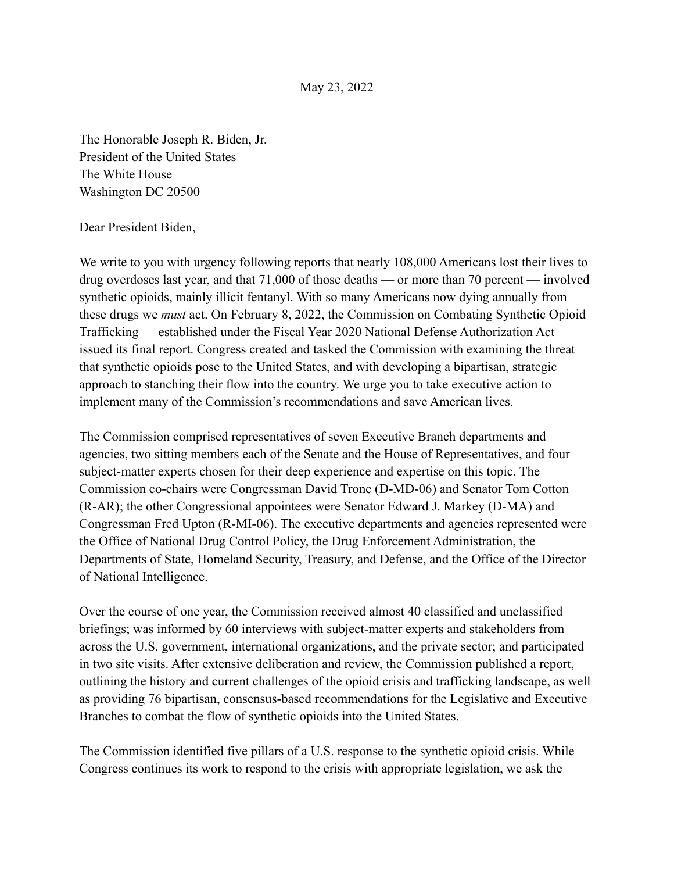The Honorable Joseph R. Biden, Jr. President of the United States The White House Washington DC 20500

#### Dear President Biden,

We write to you with urgency following reports that nearly 108,000 Americans lost their lives to drug overdoses last year, and that 71,000 of those deaths — or more than 70 percent — involved synthetic opioids, mainly illicit fentanyl. With so many Americans now dying annually from these drugs we *must* act. On February 8, 2022, the Commission on Combating Synthetic Opioid Trafficking — established under the Fiscal Year 2020 National Defense Authorization Act issued its final report. Congress created and tasked the Commission with examining the threat that synthetic opioids pose to the United States, and with developing a bipartisan, strategic approach to stanching their flow into the country. We urge you to take executive action to implement many of the Commission's recommendations and save American lives.

The Commission comprised representatives of seven Executive Branch departments and agencies, two sitting members each of the Senate and the House of Representatives, and four subject-matter experts chosen for their deep experience and expertise on this topic. The Commission co-chairs were Congressman David Trone (D-MD-06) and Senator Tom Cotton (R-AR); the other Congressional appointees were Senator Edward J. Markey (D-MA) and Congressman Fred Upton (R-MI-06). The executive departments and agencies represented were the Office of National Drug Control Policy, the Drug Enforcement Administration, the Departments of State, Homeland Security, Treasury, and Defense, and the Office of the Director of National Intelligence.

Over the course of one year, the Commission received almost 40 classified and unclassified briefings; was informed by 60 interviews with subject-matter experts and stakeholders from across the U.S. government, international organizations, and the private sector; and participated in two site visits. After extensive deliberation and review, the Commission published a report, outlining the history and current challenges of the opioid crisis and trafficking landscape, as well as providing 76 bipartisan, consensus-based recommendations for the Legislative and Executive Branches to combat the flow of synthetic opioids into the United States.

The Commission identified five pillars of a U.S. response to the synthetic opioid crisis. While Congress continues its work to respond to the crisis with appropriate legislation, we ask the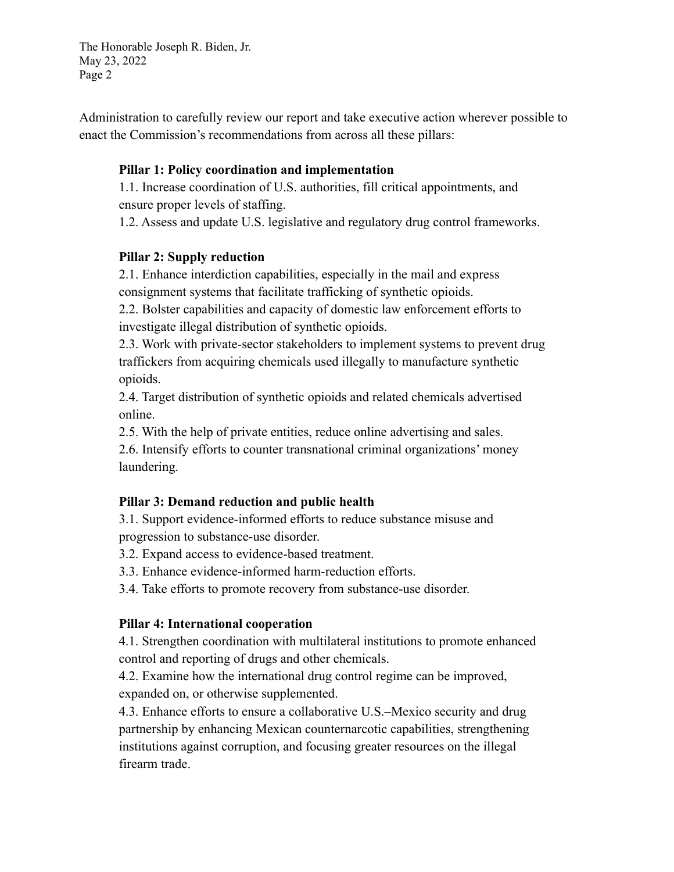The Honorable Joseph R. Biden, Jr. May 23, 2022 Page 2

Administration to carefully review our report and take executive action wherever possible to enact the Commission's recommendations from across all these pillars:

#### **Pillar 1: Policy coordination and implementation**

1.1. Increase coordination of U.S. authorities, fill critical appointments, and ensure proper levels of staffing.

1.2. Assess and update U.S. legislative and regulatory drug control frameworks.

# **Pillar 2: Supply reduction**

2.1. Enhance interdiction capabilities, especially in the mail and express consignment systems that facilitate trafficking of synthetic opioids.

2.2. Bolster capabilities and capacity of domestic law enforcement efforts to investigate illegal distribution of synthetic opioids.

2.3. Work with private-sector stakeholders to implement systems to prevent drug traffickers from acquiring chemicals used illegally to manufacture synthetic opioids.

2.4. Target distribution of synthetic opioids and related chemicals advertised online.

2.5. With the help of private entities, reduce online advertising and sales.

2.6. Intensify efforts to counter transnational criminal organizations' money laundering.

# **Pillar 3: Demand reduction and public health**

3.1. Support evidence-informed efforts to reduce substance misuse and progression to substance-use disorder.

3.2. Expand access to evidence-based treatment.

3.3. Enhance evidence-informed harm-reduction efforts.

3.4. Take efforts to promote recovery from substance-use disorder.

#### **Pillar 4: International cooperation**

4.1. Strengthen coordination with multilateral institutions to promote enhanced control and reporting of drugs and other chemicals.

4.2. Examine how the international drug control regime can be improved, expanded on, or otherwise supplemented.

4.3. Enhance efforts to ensure a collaborative U.S.–Mexico security and drug partnership by enhancing Mexican counternarcotic capabilities, strengthening institutions against corruption, and focusing greater resources on the illegal firearm trade.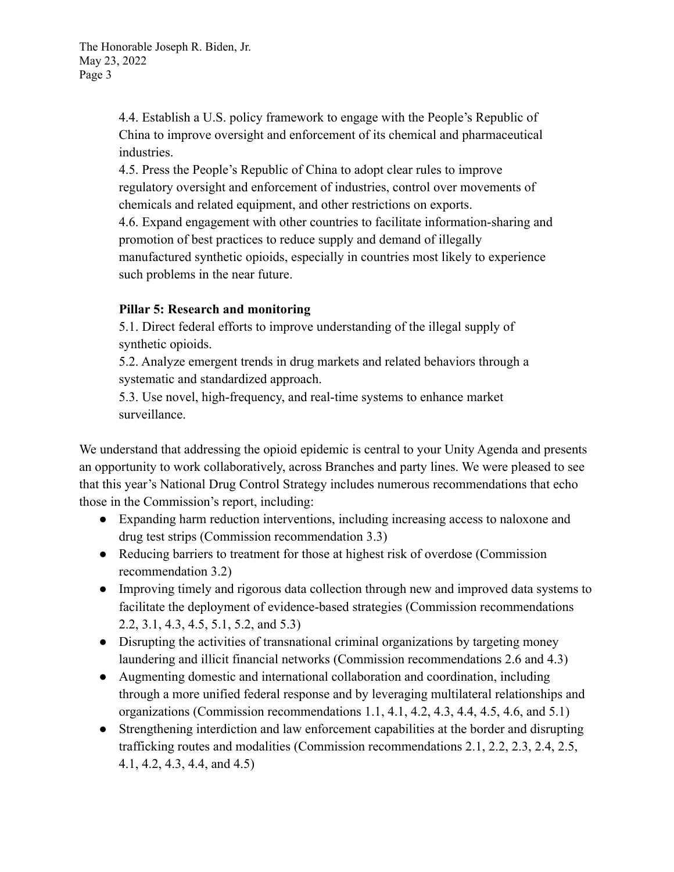4.4. Establish a U.S. policy framework to engage with the People's Republic of China to improve oversight and enforcement of its chemical and pharmaceutical industries.

4.5. Press the People's Republic of China to adopt clear rules to improve regulatory oversight and enforcement of industries, control over movements of chemicals and related equipment, and other restrictions on exports. 4.6. Expand engagement with other countries to facilitate information-sharing and promotion of best practices to reduce supply and demand of illegally manufactured synthetic opioids, especially in countries most likely to experience such problems in the near future.

# **Pillar 5: Research and monitoring**

5.1. Direct federal efforts to improve understanding of the illegal supply of synthetic opioids.

5.2. Analyze emergent trends in drug markets and related behaviors through a systematic and standardized approach.

5.3. Use novel, high-frequency, and real-time systems to enhance market surveillance.

We understand that addressing the opioid epidemic is central to your Unity Agenda and presents an opportunity to work collaboratively, across Branches and party lines. We were pleased to see that this year's National Drug Control Strategy includes numerous recommendations that echo those in the Commission's report, including:

- Expanding harm reduction interventions, including increasing access to naloxone and drug test strips (Commission recommendation 3.3)
- Reducing barriers to treatment for those at highest risk of overdose (Commission recommendation 3.2)
- Improving timely and rigorous data collection through new and improved data systems to facilitate the deployment of evidence-based strategies (Commission recommendations 2.2, 3.1, 4.3, 4.5, 5.1, 5.2, and 5.3)
- Disrupting the activities of transnational criminal organizations by targeting money laundering and illicit financial networks (Commission recommendations 2.6 and 4.3)
- Augmenting domestic and international collaboration and coordination, including through a more unified federal response and by leveraging multilateral relationships and organizations (Commission recommendations 1.1, 4.1, 4.2, 4.3, 4.4, 4.5, 4.6, and 5.1)
- Strengthening interdiction and law enforcement capabilities at the border and disrupting trafficking routes and modalities (Commission recommendations 2.1, 2.2, 2.3, 2.4, 2.5, 4.1, 4.2, 4.3, 4.4, and 4.5)